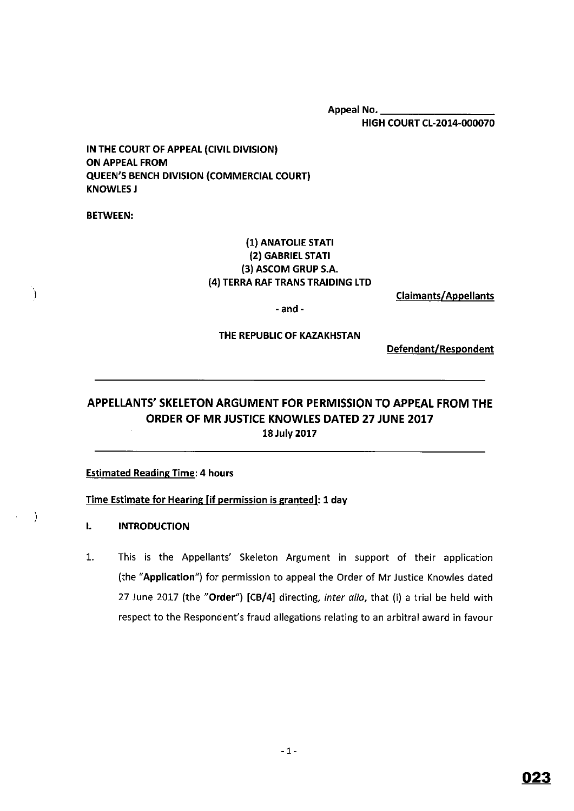Appeal No. \_ HIGH COURT CL-2014-000070

IN THE COURT OF APPEAL (CIVIL DIVISION) ON APPEAL FROM QUEEN'S BENCH DIVISION (COMMERCIAL COURT) **KNOWLES J** 

BETWEEN:

}

 $\lambda$ 

## (1) ANATOLIE STATI (2) GABRIEL STATI (3) ASCOM GRUP S.A. (4) TERRA RAF TRANS TRAIDING LTD

Claimants/Appellants

-and-

#### THE REPUBLIC OF KAZAKHSTAN

Defendant/Respondent

# **APPELLANTS' SKELETON ARGUMENT FOR PERMISSION TO APPEAL FROM THE ORDER OF MR JUSTICE KNOWLES DATED 27 JUNE 2017 18 July 2017**

#### **Estimated Reading Time: 4 hours**

#### **Time Estimate for Hearing (if permission is granted]: 1 day**

- I. **INTRODUCTION**
- 1. This is the Appellants' Skeleton Argument in support of their application (the **"Application")** for permission to appeal the Order of Mr Justice Knowles dated 27 June 2017 (the **"Order") [CB/4]** directing, inter alia, that (i) a trial be held with respect to the Respondent's fraud allegations relating to an arbitral award in favour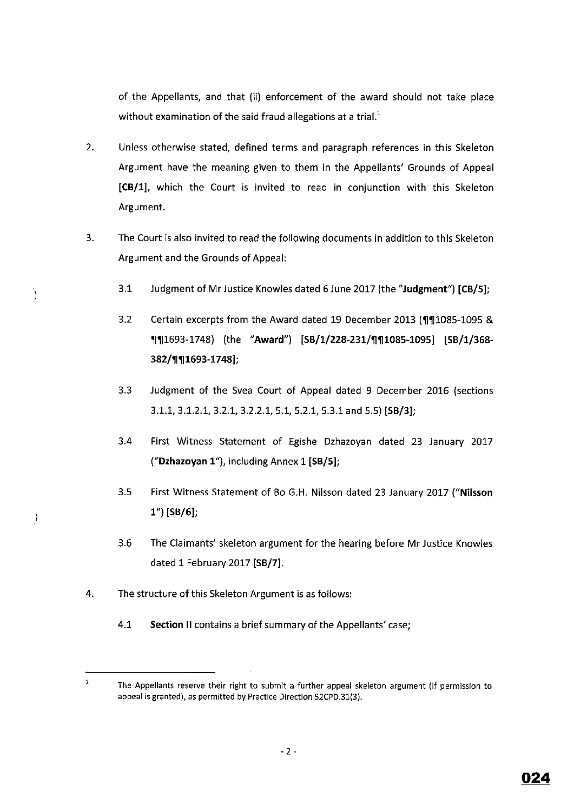of the Appellants, and that (ii) enforcement of the award should not take place without examination of the said fraud allegations at a trial. $<sup>1</sup>$ </sup>

- 2. Unless otherwise stated, defined terms and paragraph references in this Skeleton Argument have the meaning given to them in the Appellants' Grounds of Appeal **[CB/1],** which the Court is invited to read in conjunction with this Skeleton Argument.
- 3. The Court is also invited to read the following documents in addition to this Skeleton Argument and the Grounds of Appeal:
	- 3.1 Judgment of Mr Justice Knowles dated 6 June 2017 (the **"Judgment") [CB/5];**
	- 3.2 Certain excerpts from the Award dated 19 December 2013 (¶11085-1095 & '11'111693-1748) (the **"Award") [SB/1/228-231/'11'111085-1095] [SB/1/368- 382/'11'111693-1748];**
	- 3.3 Judgment of the Svea Court of Appeal dated 9 December 2016 (sections 3.1.1, 3.1.2.1, 3.2.1, 3.2.2.1, 5.1, 5.2.1, 5.3.1 and 5.5) **[SB/3];**
	- 3.4 First Witness Statement of Egishe Dzhazoyan dated 23 January 2017 **("Dzhazoyan 1"),** including Annex 1 **[SB/5];**
	- 3.5 First Witness Statement of Bo G.H. Nilsson dated 23 January 2017 **("Nilsson 1") [SB/6];**
	- 3.6 The Claimants' skeleton argument for the hearing before Mr Justice Knowles dated 1 February 2017 **[SB/7].**
- 4. The structure of this Skeleton Argument is as follows:

 $\big)$ 

 $\big)$ 

4.1 **Section** II contains a brief summary of the Appellants' case;

 $\mathbf{1}$ **The Appellants reserve their right to submit a further appeal skeleton argument (if permission to**  appeal is granted), as permitted by Practice Direction 52CPD.31(3).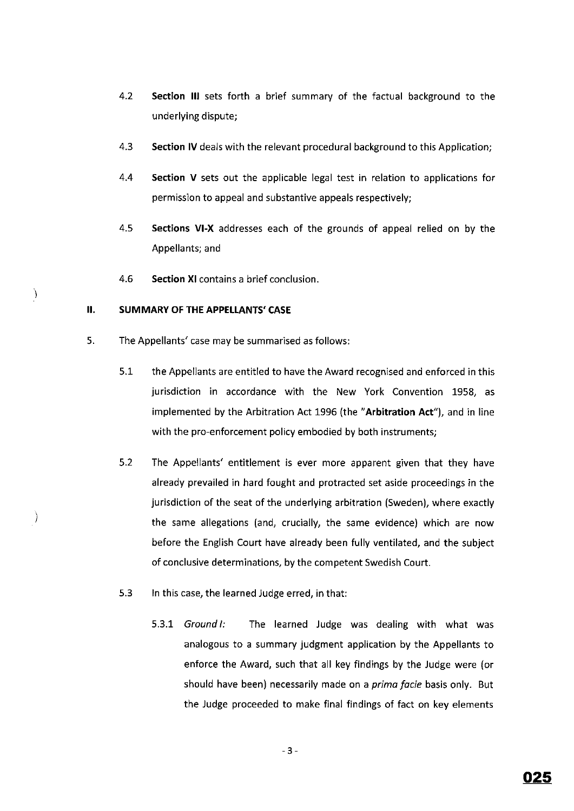- 4.2 **Section** Ill sets forth a brief summary of the factual background to the underlying dispute;
- 4.3 **Section IV** deals with the relevant procedural background to this Application;
- 4.4 **Section V** sets out the applicable legal test in relation to applications for permission to appeal and substantive appeals respectively;
- 4.5 **Sections VI-X** addresses each of the grounds of appeal relied on by the Appellants; and
- 4.6 **Section XI** contains a brief conclusion.

## **II. SUMMARY OF THE APPELLANTS' CASE**

I

 $\big)$ 

- 5. The Appellants' case may be summarised as follows:
	- 5.1 the Appellants are entitled to have the Award recognised and enforced in this jurisdiction in accordance with the New York Convention 1958, as implemented by the Arbitration Act 1996 (the **"Arbitration Act"),** and in line with the pro-enforcement policy embodied by both instruments;
	- 5.2 The Appellants' entitlement is ever more apparent given that they have already prevailed in hard fought and protracted set aside proceedings in the jurisdiction of the seat of the underlying arbitration (Sweden), where exactly the same allegations (and, crucially, the same evidence) which are now before the English Court have already been fully ventilated, and the subject of conclusive determinations, by the competent Swedish Court.
	- 5.3 In this case, the learned Judge erred, in that:
		- 5.3.1 Ground I: The learned Judge was dealing with what was analogous to a summary judgment application by the Appellants to enforce the Award, such that all key findings by the Judge were (or should have been) necessarily made on a *prima facie* basis only. But the Judge proceeded to make final findings of fact on key elements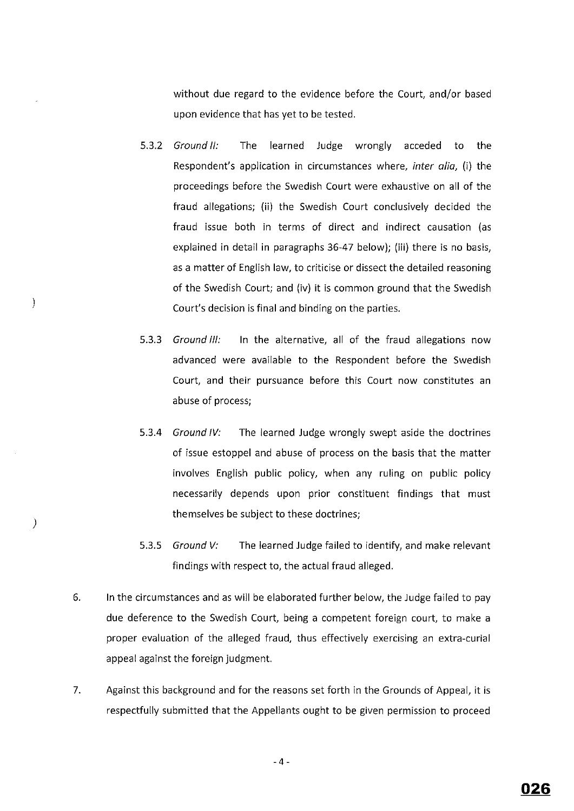without due regard to the evidence before the Court, and/or based upon evidence that has yet to be tested.

- 5.3.2 Ground II: The learned Judge wrongly acceded to the Respondent's application in circumstances where, *inter a/ia,* (i) the proceedings before the Swedish Court were exhaustive on all of the fraud allegations; (ii) the Swedish Court conclusively decided the fraud issue both in terms of direct and indirect causation (as explained in detail in paragraphs 36-47 below); (iii) there is no basis, as a matter of English law, to criticise or dissect the detailed reasoning of the Swedish Court; and (iv) it is common ground that the Swedish Court's decision is final and binding on the parties.
- 5.3.3 Ground III: In the alternative, all of the fraud allegations now advanced were available to the Respondent before the Swedish Court, and their pursuance before this Court now constitutes an abuse of process;
- 5.3.4 Ground IV: The learned Judge wrongly swept aside the doctrines of issue estoppel and abuse of process on the basis that the matter involves English public policy, when any ruling on public policy necessarily depends upon prior constituent findings that must themselves be subject to these doctrines;
- 5.3.5 Ground V: The learned Judge failed to identify, and make relevant findings with respect to, the actual fraud alleged.
- 6. In the circumstances and as will be elaborated further below, the Judge failed to pay due deference to the Swedish Court, being a competent foreign court, to make a proper evaluation of the alleged fraud, thus effectively exercising an extra-curial appeal against the foreign judgment.

)

 $\mathcal{E}$ 

7. Against this background and for the reasons set forth in the Grounds of Appeal, it is respectfully submitted that the Appellants ought to be given permission to proceed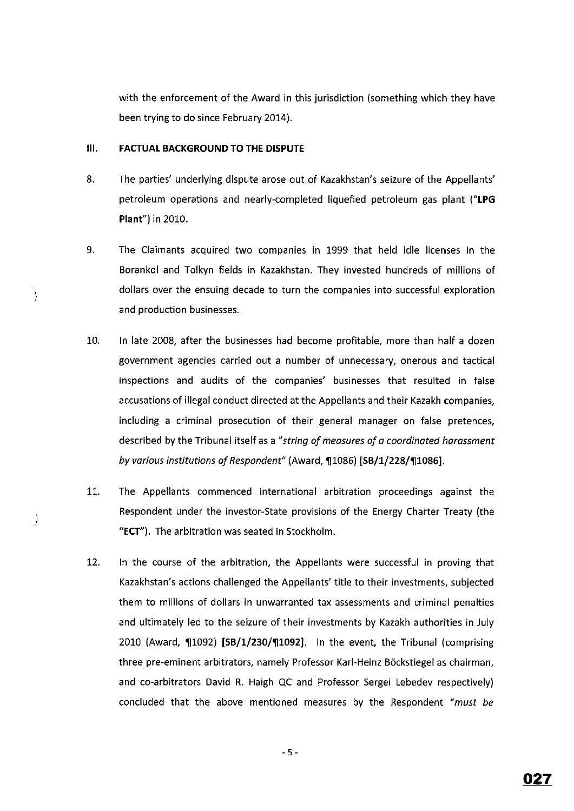with the enforcement of the Award in this jurisdiction (something which they have been trying to do since February 2014).

#### **Ill. FACTUAL BACKGROUND TO THE DISPUTE**

 $\left\{ \right\}$ 

 $\big)$ 

- 8. The parties' underlying dispute arose out of Kazakhstan's seizure of the Appellants' petroleum operations and nearly-completed liquefied petroleum gas plant **("LPG Plant")** in 2010.
- 9. The Claimants acquired two companies in 1999 that held idle licenses in the Borankol and Tolkyn fields in Kazakhstan. They invested hundreds of millions of dollars over the ensuing decade to turn the companies into successful exploration and production businesses.
- 10. In late 2008, after the businesses had become profitable, more than half a dozen government agencies carried out a number of unnecessary, onerous and tactical inspections and audits of the companies' businesses that resulted in false accusations of illegal conduct directed at the Appellants and their Kazakh companies, including a criminal prosecution of their general manager on false pretences, described by the Tribunal itself as a *"string of measures of a coordinated harassment by various institutions of Respondent*" (Award, 1086) [SB/1/228/11086].
- 11. The Appellants commenced international arbitration proceedings against the Respondent under the investor-State provisions of the Energy Charter Treaty (the **"ECT").** The arbitration was seated in Stockholm.
- 12. In the course of the arbitration, the Appellants were successful in proving that Kazakhstan's actions challenged the Appellants' title to their investments, subjected them to millions of dollars in unwarranted tax assessments and criminal penalties and ultimately led to the seizure of their investments by Kazakh authorities in July 2010 (Award, ¶1092) [SB/1/230/¶1092]. In the event, the Tribunal (comprising three pre-eminent arbitrators, namely Professor Karl-Heinz B6ckstiegel as chairman, and co-arbitrators David R. Haigh QC and Professor Sergei Lebedev respectively) concluded that the above mentioned measures by the Respondent *"must be*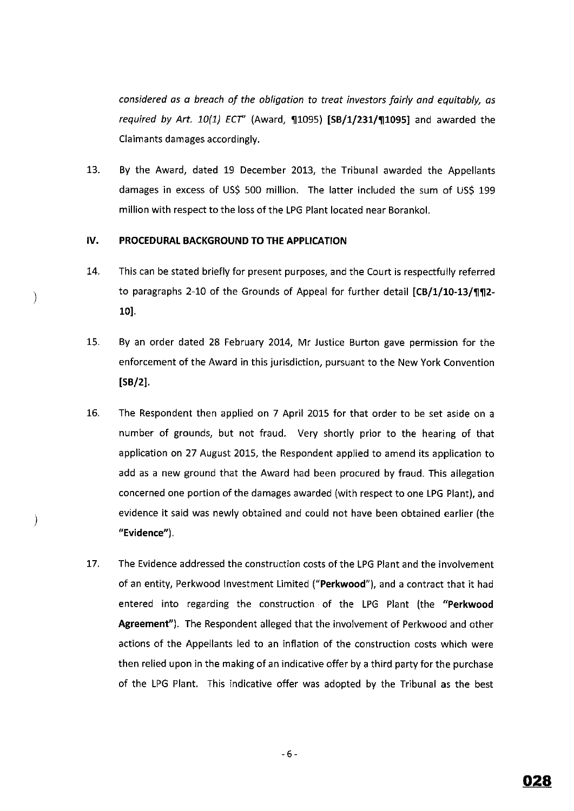*considered os a breach of the obligation to treat investors fairly and equitably, as required by Art. 10{1} ECT"* (Award, '111095) **(SB/1/231/'111095]** and awarded the Claimants damages accordingly.

13. By the Award, dated 19 December 2013, the Tribunal awarded the Appellants damages in excess of US\$ 500 million. The latter included the sum of US\$ 199 million with respect to the loss of the LPG Plant located near Borankol.

#### **IV. PROCEDURAL BACKGROUND TO THE APPLICATION**

)

 $\mathcal{Y}$ 

- 14. This can be stated briefly for present purposes, and the Court is respectfully referred to paragraphs 2-10 of the Grounds of Appeal for further detail [CB/1/10-13/¶¶2-**10].**
- 15. By an order dated 28 February 2014, Mr Justice Burton gave permission for the enforcement of the Award in this jurisdiction, pursuant to the New York Convention **[SB/2].**
- 16. The Respondent then applied on 7 April 2015 for that order to be set aside on a number of grounds, but not fraud. Very shortly prior to the hearing of that application on 27 August 2015, the Respondent applied to amend its application to add as a new ground that the Award had been procured by fraud. This allegation concerned one portion of the damages awarded (with respect to one LPG Plant), and evidence it said was newly obtained and could not have been obtained earlier (the **"Evidence").**
- 17. The Evidence addressed the construction costs of the LPG Plant and the involvement of an entity, Perkwood Investment Limited **("Perkwood"),** and a contract that it had entered into regarding the construction of the LPG Plant (the **"Perkwood Agreement").** The Respondent alleged that the involvement of Perkwood and other actions of the Appellants led to an inflation of the construction costs which were then relied upon in the making of an indicative offer by a third party for the purchase of the LPG Plant. This indicative offer was adopted by the Tribunal as the best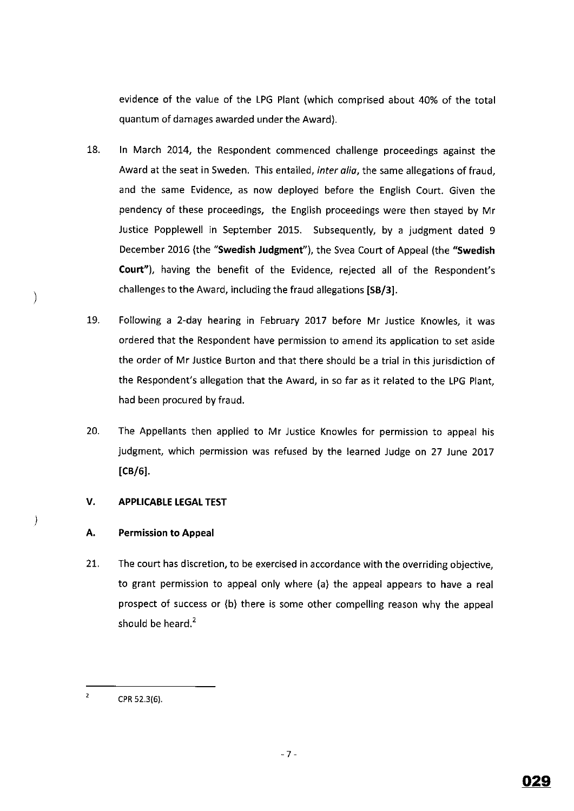evidence of the value of the LPG Plant (which comprised about 40% of the total quantum of damages awarded under the Award).

- 18. In March 2014, the Respondent commenced challenge proceedings against the Award at the seat in Sweden. This entailed, inter alia, the same allegations of fraud, and the same Evidence, as now deployed before the English Court. Given the pendency of these proceedings, the English proceedings were then stayed by Mr Justice Popplewell in September 2015. Subsequently, by a judgment dated 9 December 2016 (the **"Swedish Judgment"),** the Svea Court of Appeal (the **"Swedish Court"),** having the benefit of the Evidence, rejected all of the Respondent's challenges to the Award, including the fraud allegations **[SB/3].**
- 19. Following a 2-day hearing in February 2017 before Mr Justice Knowles, it was ordered that the Respondent have permission to amend its application to set aside the order of Mr Justice Burton and that there should be a trial in this jurisdiction of the Respondent's allegation that the Award, in so far as it related to the LPG Plant, had been procured by fraud.
- 20. The Appellants then applied to Mr Justice Knowles for permission to appeal his judgment, which permission was refused by the learned Judge on 27 June 2017 **(CB/6].**

## **V. APPLICABLE LEGAL TEST**

## **A. Permission to Appeal**

 $\big)$ 

 $\left( \right)$ 

21. The court has discretion, to be exercised in accordance with the overriding objective, to grant permission to appeal only where (a) the appeal appears to have a real prospect of success or (b) there is some other compelling reason why the appeal should be heard. $<sup>2</sup>$ </sup>

 $\overline{\mathbf{2}}$ CPR 52.3(6).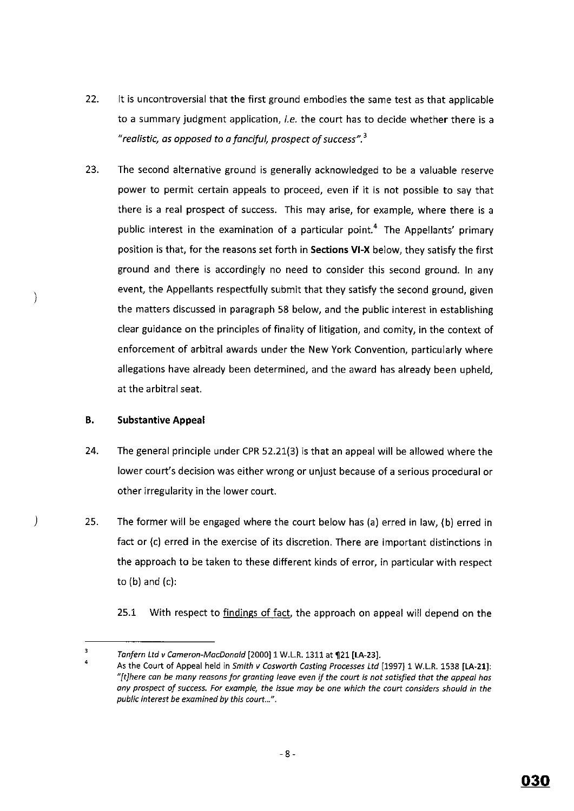- 22. It is uncontroversial that the first ground embodies the same test as that applicable to a summary judgment application, *i.e.* the court has to decide whether there is a *"realistic, as opposed to a fanciful, prospect of success".* <sup>3</sup>
- 23. The second alternative ground is generally acknowledged to be a valuable reserve power to permit certain appeals to proceed, even if it is not possible to say that there is a real prospect of success. This may arise, for example, where there is a public interest in the examination of a particular point.<sup>4</sup> The Appellants' primary position is that, for the reasons set forth in **Sections VI-X** below, they satisfy the first ground and there is accordingly no need to consider this second ground. In any event, the Appellants respectfully submit that they satisfy the second ground, given the matters discussed in paragraph 58 below, and the public interest in establishing clear guidance on the principles of finality of litigation, and comity, in the context of enforcement of arbitral awards under the New York Convention, particularly where allegations have already been determined, and the award has already been upheld, at the arbitral seat.

## **B. Substantive Appeal**

)

 $\mathcal{C}$ 

- 24. The general principle under CPR 52.21(3) is that an appeal will be allowed where the lower court's decision was either wrong or unjust because of a serious procedural or other irregularity in the lower court.
- 25. The former will be engaged where the court below has (a) erred in law, {b) erred in fact or {c) erred in the exercise of its discretion. There are important distinctions in the approach to be taken to these different kinds of error, in particular with respect to  $(b)$  and  $(c)$ :

25.1 With respect to findings of fact, the approach on appeal will depend on the

 $\overline{\mathbf{3}}$ Tanfern Ltd v Cameron-MacDonald [2000] 1 W.L.R. 1311 at **121 [LA-23].**  4

As the Court of Appeal held in Smith v Cosworth Casting Processes Ltd [1997] 1 W.L.R. 1538 **[LA-21]:**  *"[t]here can be many reasons for granting leave even if the court is not satisfied that the appeal has any prospect of success. For example, the issue may be one which the court considers should in the public interest be examined* **by** *this court ... ".*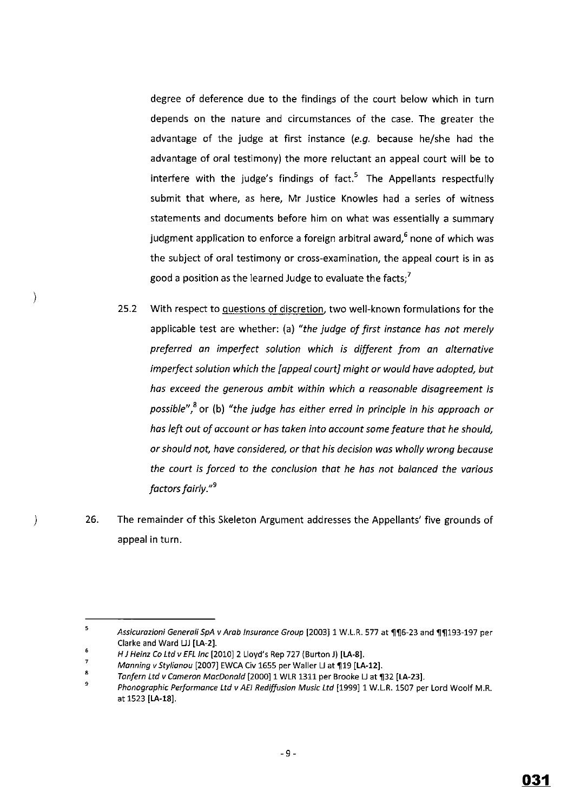degree of deference due to the findings of the court below which in turn depends on the nature and circumstances of the case. The greater the advantage of the judge at first instance  $(e.g.$  because he/she had the advantage of oral testimony) the more reluctant an appeal court will be to interfere with the judge's findings of  $fact.^5$  The Appellants respectfully submit that where, as here, Mr Justice Knowles had a series of witness statements and documents before him on what was essentially a summary judgment application to enforce a foreign arbitral award,<sup>6</sup> none of which was the subject of oral testimony or cross-examination, the appeal court is in as good a position as the learned Judge to evaluate the facts; $'$ 

- 25.2 With respect to questions of discretion, two well-known formulations for the applicable test are whether: (a) *"the judge of first instance has nat merely preferred an imperfect solution which is different from an alternative imperfect solution which the [appeal court] might or would hove adopted, but has exceed the generous ambit within which a reasonable disagreement is possible",8* or (b) *"the judge has either erred in principle in his approach or has left out of account or has taken into account some feature that he should, or should not, have considered, or that his decision was wholly wrong because the court is forced to the conclusion that he has not balanced the various factors fairly." <sup>9</sup>*
- ) 26. The remainder of this Skeleton Argument addresses the Appellants' five grounds of appeal in turn.

 $\overline{\mathbf{5}}$ Assicurazioni Generali SpA v Arab Insurance Group [2003] 1 W.L.R. 577 at ¶¶6-23 and ¶¶193-197 per Clarke and Ward LJJ [LA-2].

<sup>6</sup>  H J Heinz Co Ltd v EFL Inc [2010] 2 Lloyd's Rep 727 (Burton J) [LA-8].

<sup>7</sup>  Manning v Stylianou [2007] EWCA Civ 1655 per Waller LJ at 119 [LA-12].

<sup>8</sup>  Tanfern Ltd v Cameron MacDonald [2000] 1 WLR 1311 per Brooke LJ at ¶32 [LA-23].

<sup>9</sup>  Phonographic Performance Ltd v AEI Rediffusion Music Ltd [1999] 1 W.L.R. 1507 per Lord Woolf M.R. at 1523 [LA-18].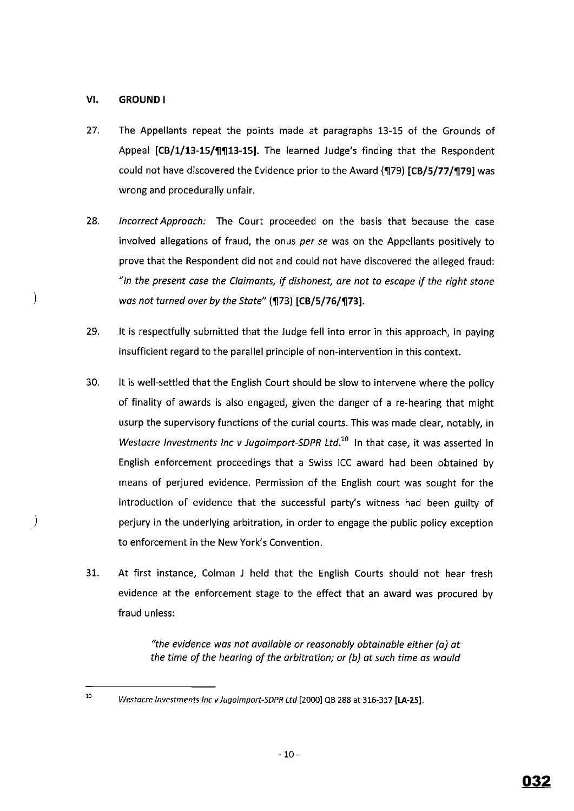## **VI, GROUND I**

 $\lambda$ 

 $\big)$ 

- 27. The Appellants repeat the points made at paragraphs 13-15 of the Grounds of Appeal **[CB/1/13-15/'11'1113-15].** The learned Judge's finding that the Respondent could not have discovered the Evidence prior to the Award (179) [CB/5/77/179] was wrong and procedurally unfair.
- 28. *Incorrect Approach:* The Court proceeded on the basis that because the case involved allegations of fraud, the onus *per se* was on the Appellants positively to prove that the Respondent did not and could not have discovered the alleged fraud: *"In the present case the Claimants,* if *dishonest, are not to escape* if *the right stone was not turned over by the State"* (¶73) [CB/5/76/¶73].
- 29. It is respectfully submitted that the Judge fell into error in this approach, in paying insufficient regard to the parallel principle of non-intervention in this context.
- 30. It is well-settled that the English Court should be slow to intervene where the policy of finality of awards is also engaged, given the danger of a re-hearing that might usurp the supervisory functions of the curial courts. This was made clear, notably, in *Westacre Investments Inc v Jugoimport-SDPR Ltd.*<sup>10</sup> In that case, it was asserted in English enforcement proceedings that a Swiss ICC award had been obtained by means of perjured evidence. Permission of the English court was sought for the introduction of evidence that the successful party's witness had been guilty of perjury in the underlying arbitration, in order to engage the public policy exception to enforcement in the New York's Convention.
- 31. At first instance, Colman J held that the English Courts should not hear fresh evidence at the enforcement stage to the effect that an award was procured by fraud unless:

*"the evidence was not available or reasonably obtainable either (a] at the time of the hearing of the arbitration; or {b] at such time as would* 

<sup>10</sup> 

Westacre Investments Inc v Jugoimport-SDPR Ltd [2000] QB 288 at 316-317 **[LA-25].**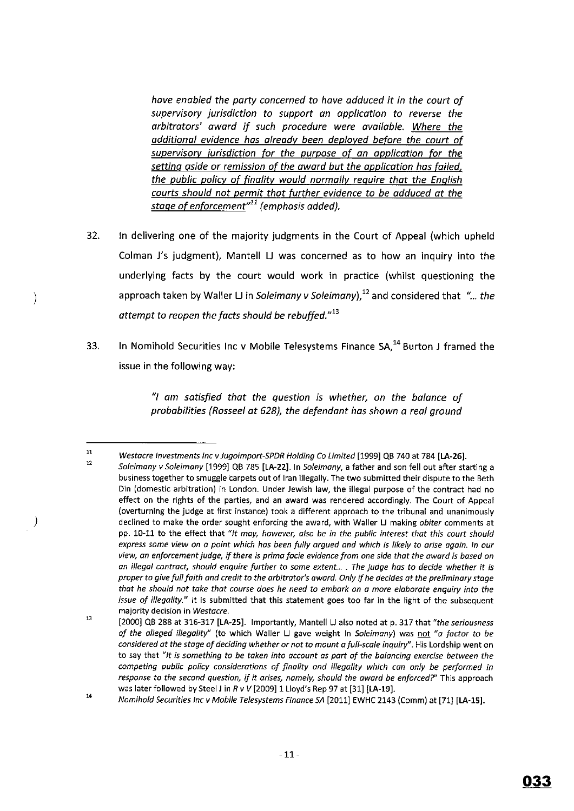*have enabled the party cancerned to have adduced it in the court of supervisory jurisdiction to support an application to reverse the arbitrators' award if such procedure were available. Where the additional evidence has already been deployed before the court of supervisory iurisdiction for the purpose of an application for the setting aside or remission of the award but the application has failed, the public policy of finality would normally require that the English courts should not permit that further evidence to be adduced at the stage of enforcement"11 (emphasis added).* 

- 32. In delivering one of the majority judgments in the Court of Appeal (which upheld Colman J's judgment), Mantell LI was concerned as to how an inquiry into the underlying facts by the court would work in practice (whilst questioning the approach taken by Waller LJ in *Soleimany v Soleimany*), <sup>12</sup> and considered that "... *the attempt to reopen the facts should be rebuffed." <sup>13</sup>*
- 33. In Nomihold Securities Inc v Mobile Telesystems Finance  $SA^{14}$  Burton J framed the issue in the following way:

*"I am satisfied that the question is whether, on the balance of probabilities (Rosseel at 628), the defendant has shown a real ground* 

)

J,

<sup>11</sup>  *Westacre Investments Inc v Jugoimport-SPDR Holding Co Limited* [1999] QB 740 at 784 **[LA-26].** 

<sup>12</sup>  *Soleimony v Soleimony* [1999] QB 785 **[LA-22].** In *Soleimany,* a father and son fell out after starting a **business together to smuggle 'carpets out of lran illegally. The two submitted their dispute to the Beth Din (domestic arbitration) in London. Under Jewish law, the illegal purpose of the contract had no effect on the rights of the parties, and an award was rendered accordingly. The Court of Appeal (overturning the judge at first instance) took a different approach to the tribunal and unanimously declined to make the order sought enforcing the award, with Waller U making** *obiter* **comments at**  pp. 10-11 *to* the effect that *"It may, however, also be in the public interest that this court should express some view on a point which has been fully argued and which is likely to arise again. In our view,. an enforcement judge, if there is prima facie evidence from one side that the award is based on an illegal contract,. should enquire further to some extent. ..* **.** *The judge has to decide whether it is proper to give full faith and credit to the arbitrator's award. Only if he decides at the preliminary stage that he should not take that course does he need to embark on a more elaborate enquiry into the issue of illegality."* **It is submitted that this statement goes too far in the light of the subsequent majority decision in** *Westacre.* 

<sup>13</sup>  [2000] QB 288 at 316-317 **[LA-25].** Importantly, Mantell U also noted at p. 317 that *"the seriousness of the alleged illegality"* (to which Waller U gave weight In *So/eimony)* was not *"a factor to be considered at the stage of deciding whether or not to mount a full-scale inquiry''.* **His Lordship went on to say that** *"It is something to be taken into account as part of the balancing exercise between the competing public policy considerations of finality and illegality which con only be performed in response to the second question, if it arises, namely, should the award be enforced?"* This approach was later followed by Steel Jin *R v V* [2009] 1 Lloyd's Rep 97 at [31] **[LA-19].** 

<sup>14</sup>  *Nomihold Securities Inc v Mobile Telesystems Finance SA* [2011] EWHC 2143 (Comm) at [71] [LA-15].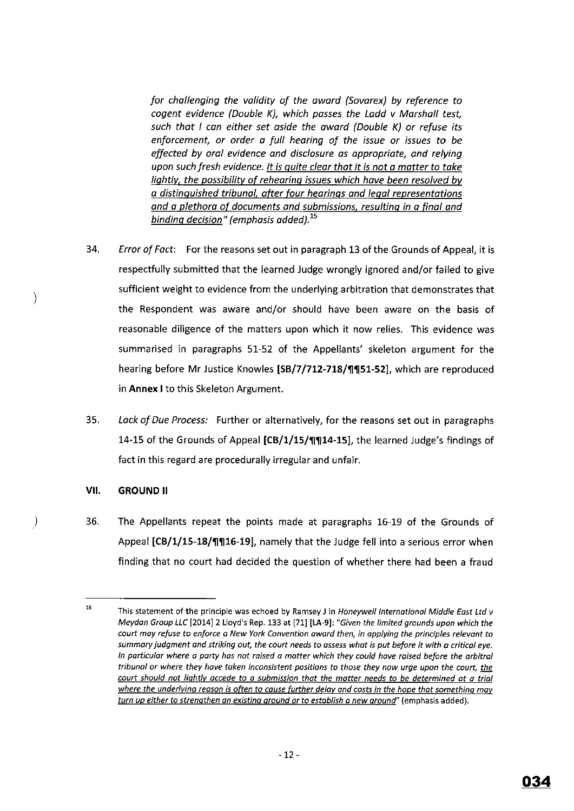*for challenging the validity of the award {Sovarex) by reference to cogent evidence (Double K), which passes the Ladd v Marshall test, such that I can either set aside the award {Double K) or refuse its enforcement, or order a full hearing of the issue or issues to be effected by oral evidence and disclosure as appropriate, and relying upon such fresh evidence. It is quite clear that it is not a matter to take liqhtlv, the possibility of rehearing issues which have been resolved bv a distinguished tribunal. after four hearings and legal representations and a plethora of documents and submissions. resulting in a final and binding decision" (emphasis added).* <sup>15</sup>

- 34. *Error of Fact:* For the reasons set out in paragraph 13 of the Grounds of Appeal, it is respectfully submitted that the learned Judge wrongly ignored and/or failed to give sufficient weight to evidence from the underlying arbitration that demonstrates that the Respondent was aware and/or should have been aware on the basis of reasonable diligence of the matters upon which it now relies. This evidence was summarised in paragraphs 51-52 of the Appellants' skeleton argument for the hearing before Mr Justice Knowles [SB/7/712-718/¶¶51-52], which are reproduced in **Annex** I to this Skeleton Argument.
- 35. *Lack of Due Process:* Further or alternatively, for the reasons set out in paragraphs 14-15 of the Grounds of Appeal **[CB/1/15/'!1'1114-15],** the learned Judge's findings of fact in this regard are procedurally irregular and unfair.

## **VII. GROUND II**

J

 $\big)$ 

36. The Appellants repeat the points made at paragraphs 16-19 of the Grounds of Appeal [CB/1/15-18/''] 16-19], namely that the Judge fell into a serious error when finding that no court had decided the question of whether there had been a fraud

<sup>15</sup>**This statement of the principle was echoed by Ramsey J in Honeywell International Middle East Ltd v**  Meydan Group LLC [2014] 2 Lloyd's Rep. 133 at [71] **[LA-9]:** "Given the limited grounds upon which the *court may refuse to enforce a New York Convention award then, in applying the principles relevant to summary judgment and striking out, the court needs to assess what is put before* **it** *with a critical eye. In particular where a party has not raised a matter which they could have raised before the arbitra/ tribunal or where they have taken inconsistent positions to those they now urge upon the court, the court should not lightly accede to a submission that the matter needs to be determined at a trial where the underlying reason is often to cause further delay and costs in the hope that something may turn up either to strengthen an existing ground or to establish a new ground"* **(emphasis added).**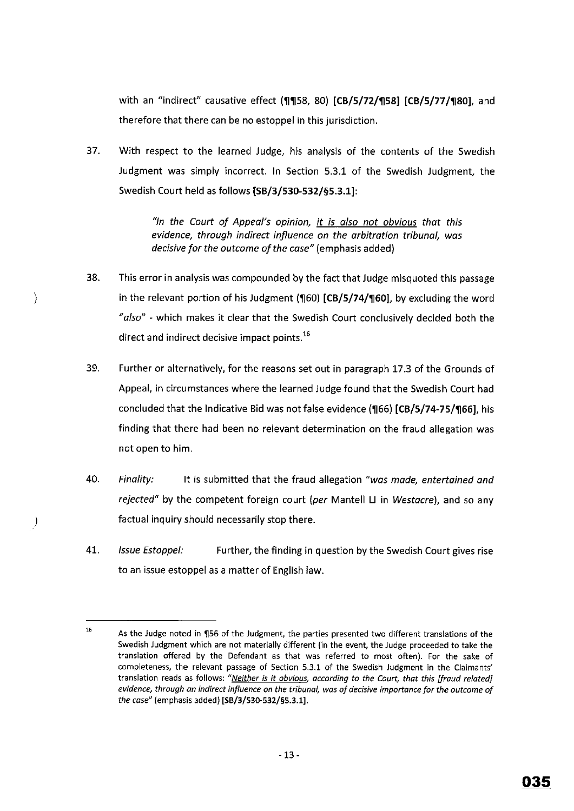with an "indirect" causative effect **('11'1158,** 80) **[CB/5/72/'1158) [CB/5/77/'1180),** and therefore that there can be no estoppel in this jurisdiction.

37. With respect to the learned Judge, his analysis of the contents of the Swedish Judgment was simply incorrect. In Section 5.3.1 of the Swedish Judgment, the Swedish Court held as follows **[SB/3/530-532/§5.3.1):** 

> *"In the Court of Appeal's opinion, it is also not obvious that this evidence, through indirect influence on the arbitration tribunal, was decisive for the outcome of the case"* (emphasis added)

38. This error in analysis was compounded by the fact that Judge misquoted this passage in the relevant portion of his Judgment (160) [CB/5/74/160], by excluding the word *"also"* - which makes it clear that the Swedish Court conclusively decided both the direct and indirect decisive impact points.<sup>16</sup>

 $\rightarrow$ 

-)

- 39. Further or alternatively, for the reasons set out in paragraph 17.3 of the Grounds of Appeal, in circumstances where the learned Judge found that the Swedish Court had concluded that the Indicative Bid was not false evidence **('1166) [CB/5/74-75/'1166],** his finding that there had been no relevant determination on the fraud allegation was not open to him.
- 40. *Finality:* It is submitted that the fraud allegation *"was made, entertained and rejected"* by the competent foreign court *(per* Mantell U in *Westacre),* and so any factual inquiry should necessarily stop there.
- 41. *Issue Estoppel:* Further, the finding in question by the Swedish Court gives rise to an issue estoppel as a matter of English law.

<sup>16</sup>  As the Judge noted in ¶56 of the Judgment, the parties presented two different translations of the **Swedish Judgment which are not materially different (in the event, the Judge proceeded to take the translation offered by the Defendant as that was referred to most often). For the sake of completeness, the relevant passage of Section 5.3.1 of the Swedish Judgment in the Claimants' translation reads as follows:** *"Neither is it obvious, according to the Court, that this [fraud related] evidence, through an indirect influence on the tribunal, was of decisive importance for the outcome of the case"* (emphasis added) **[SB/3/530-532/§5.3.1].**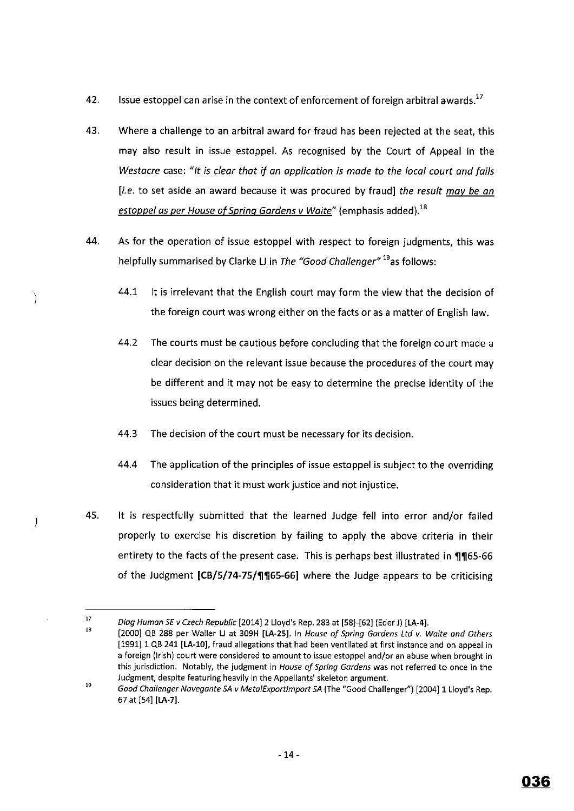- 42. Issue estoppel can arise in the context of enforcement of foreign arbitral awards.<sup>17</sup>
- 43. Where a challenge to an arbitral award for fraud has been rejected at the seat, this may also result in issue estoppel. As recognised by the Court of Appeal in the *Westacre* case: *"It is clear that if an application is made to the local court and fails*  [i.e. to set aside an award because it was procured by fraud] *the result may be an*  estoppel as per House of Spring Gardens v Waite" (emphasis added).<sup>18</sup>
- 44. As for the operation of issue estoppel with respect to foreign judgments, this was helpfully summarised by Clarke LJ in *The "Good Challenger"* <sup>19</sup>as follows:
	- 44.1 It is irrelevant that the English court may form the view that the decision of the foreign court was wrong either on the facts or as a matter of English law.
	- 44.2 The courts must be cautious before concluding that the foreign court made a clear decision on the relevant issue because the procedures of the court may be different and it may not be easy to determine the precise identity of the issues being determined.
	- 44.3 The decision of the court must be necessary for its decision.

J,

 $\big)$ 

- 44.4 The application of the principles of issue estoppel is subject to the overriding consideration that it must work justice and not injustice.
- 45. It is respectfully submitted that the learned Judge fell into error and/or failed properly to exercise his discretion by failing to apply the above criteria in their entirety to the facts of the present case. This is perhaps best illustrated in **1165-66** of the Judgment **[CB/5/74-75/'11'1165-66]** where the Judge appears to be criticising

<sup>17</sup>  Diag Human SE v Czech Republic [2014] 2 Lloyd's Rep. 283 at [58]-[62] (Eder J) **[LA-4].** 

<sup>18</sup>  [2000] QB 288 per Waller U at 309H **[LA-25].** In House of Spring Gardens Ltd v. Waite and Others [1991] 1 QB 241 [LA-10], fraud allegations that had been ventilated at first instance and on appeal in **a foreign (Irish) court were considered to amount to issue estoppel and/or an abuse when brought in this jurisdiction. Notably, the judgment in** *House of Spring Gardens* **was not referred to once in the Judgment, despite featuring heavily in the Appellants' skeleton argument.** 

<sup>19</sup>  Good Challenger Navegonte SA v Meta/Exportlmport SA (The "Good Challenger'') [2004] 1 Lloyd's Rep. 67 at [54] **[LA-7].**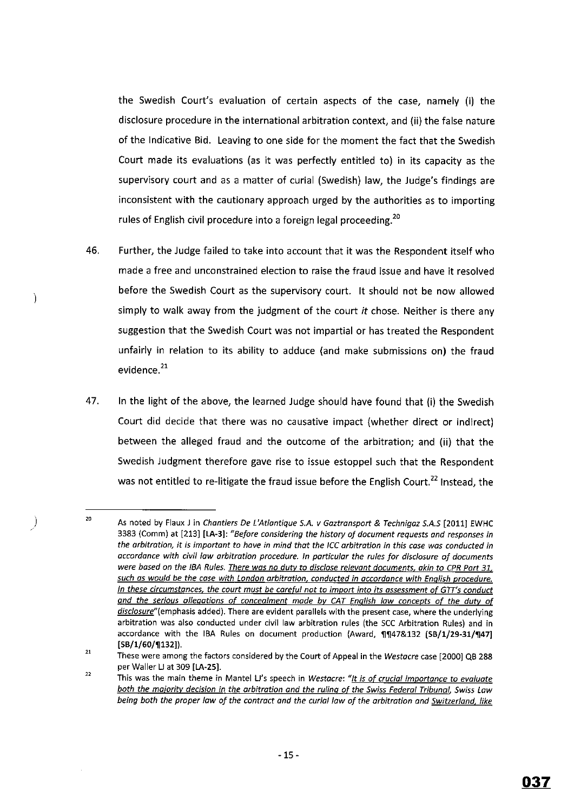the Swedish Court's evaluation of certain aspects of the case, namely (i) the disclosure procedure in the international arbitration context, and (ii) the false nature of the Indicative Bid. Leaving to one side for the moment the fact that the Swedish Court made its evaluations (as it was perfectly entitled to) in its capacity as the supervisory court and as a matter of curial (Swedish) law, the Judge's findings are inconsistent with the cautionary approach urged by the authorities as to importing rules of English civil procedure into a foreign legal proceeding.<sup>20</sup>

- 46. Further, the Judge failed to take into account that it was the Respondent itself who made a free and unconstrained election to raise the fraud issue and have it resolved before the Swedish Court as the supervisory court. It should not be now allowed simply to walk away from the judgment of the court it chose. Neither is there any suggestion that the Swedish Court was not impartial or has treated the Respondent unfairly in relation to its ability to adduce (and make submissions on) the fraud evidence.<sup>21</sup>
- 47. In the light of the above, the learned Judge should have found that (i) the Swedish Court did decide that there was no causative impact (whether direct or indirect) between the alleged fraud and the outcome of the arbitration; and (ii) that the Swedish Judgment therefore gave rise to issue estoppel such that the Respondent was not entitled to re-litigate the fraud issue before the English Court.<sup>22</sup> Instead, the

)

 $\lambda$ 

<sup>20</sup>  As noted by Flaux Jin *Chantiers De L'Atlantique S.A. v Gaztransport* & *Technigaz S.A.S* [2011] EWHC 3383 (Comm) at [213] **[LA-3]:** *"Before considering the history of document requests and responses in the arbitration~ it is important to have in mind that the ICC arbitration in this case was conducted in accordance with civil law arbitration procedure. In particular the rules for disclosure of documents were based on the /BA Rules. There was no duty to disclose relevant documents, akin to CPR Part 31, such as would be the case with London arbitration, conducted in accordance with English procedure. In these circumstances, the court must be careful not to import into its assessment of GTT's conduct and the serious allegations of concealment made by CAT English law concepts of the duty of disclosure***<sup>11</sup>** *(emphasis* **added). There are evident parallels with the present case, where the underlying**  arbitration was also conducted under civil law arbitration rules (the SCC Arbitration Rules) and in accordance with the IBA Rules on document production (Award, 11147&132 [SB/1/29-31/1147] **[SB/1/60/'1]132]).** 

<sup>21</sup>  22 These were among the factors considered by the Court of Appeal in the *Westacre* case [2000] QB 288 per Waller LJ at 309 [LA-25].

**This was the main theme in Mantel U's speech in** *Westacre: "It is of crucial importance to evaluate both the ma;ority decision in the arbitration and the ruling of the Swiss Federal Tribunal, Swiss Law being both the proper law of the contract and the curial law of the arbitration and Switzerland, like*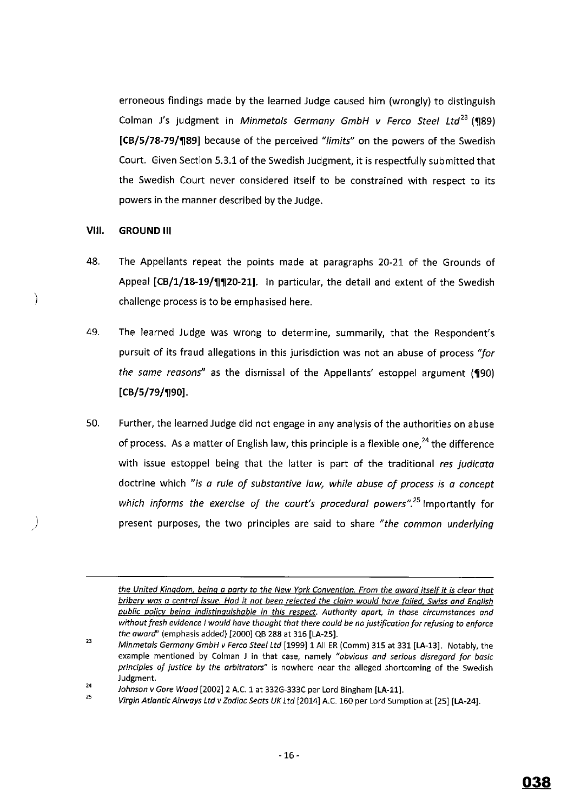erroneous findings made by the learned Judge caused him (wrongly) to distinguish Colman J's judgment in *Minmetals Germany GmbH v Ferco Steel Ltd*<sup>23</sup> (¶89) **[CB/5/78-79/'1189]** because of the perceived *"limits"* on the powers of the Swedish Court. Given Section 5.3.1 of the Swedish Judgment, it is respectfully submitted that the Swedish Court never considered itself to be constrained with respect to its powers in the manner described by the Judge.

## **VIII. GROUND Ill**

)

*)* 

- 48. The Appellants repeat the points made at paragraphs 20-21 of the Grounds of Appeal [CB/1/18-19/**1120-21].** In particular, the detail and extent of the Swedish challenge process is to be emphasised here.
- 49. The learned Judge was wrong to determine, summarily, that the Respondent's pursuit of its fraud allegations in this jurisdiction was not an abuse of process *''for the same reasons"* as the dismissal of the Appellants' estoppel argument **{'1190) [CB/5/79/'1190].**
- 50. Further, the learned Judge did not engage in any analysis of the authorities on abuse of process. As a matter of English law, this principle is a flexible one.<sup>24</sup> the difference with issue estoppel being that the latter is part of the traditional *res judicata*  doctrine which *"is a rule of substantive Jaw, while abuse of process is a concept*  which informs the exercise of the court's procedural powers".<sup>25</sup> Importantly for present purposes, the two principles are said to share *"the common underlying*

25 Johnson v Gore Wood [2002] 2 A.C. 1 at 332G-333C per Lord Bingham **[LA-11].** 

*the United Kingdom, being a party to the New York Convention. From the award itself it is clear that bribery was a central issue. Had it not been rejected the claim would have failed, Swiss and English public policy being indistinguishable in this respect. Authority apart, in those circumstances and without fresh evidence I would have thought that there could be no justification for refusing to enforce*  the award" (emphasis added) [2000] QB 288 at 316 **[LA-25].** 

<sup>23</sup>  24 Minmetals Germany GmbH v Ferco Steel Ltd [1999] 1 All ER (Comm) 315 at 331 **[LA-13].** Notably, the **example mentioned by Colman J in that case, namely** *"obvious and serious disregard for basic principles of justice by the arbitrators"* **is nowhere near the alleged shortcoming of the Swedish**  Judgment.

Virgin Atlantic Airways Ltd v Zodiac Seats UK Ltd [2014] A.C. 160 per Lord Sumption at [25] **[LA-24].**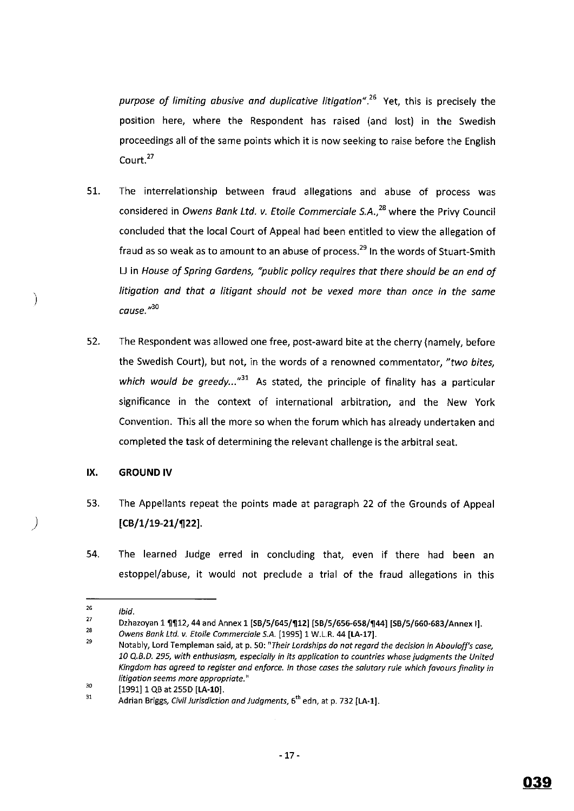purpose of limiting abusive and duplicative litigation".<sup>26</sup> Yet, this is precisely the position here, where the Respondent has raised (and lost) in the Swedish proceedings all of the same points which it is now seeking to raise before the English Court.<sup>27</sup>

- 51. The interrelationship between fraud allegations and abuse of process was considered in *Owens Bank Ltd. v. Etoile Commerciale S.A.*,<sup>28</sup> where the Privy Council concluded that the local Court of Appeal had been entitled to view the allegation of fraud as so weak as to amount to an abuse of process.<sup>29</sup> In the words of Stuart-Smith U in *House of Spring Gardens, "public policy requires thot there should be on end of litigation and thot o litigant should not be vexed more than once in the same*  **cause."'***<sup>30</sup>*
- 52. The Respondent was allowed one free, post-award bite at the cherry (namely, before the Swedish Court), but not, in the words of a renowned commentator, *"two bites,*  which would be greedy...<sup>"31</sup> As stated, the principle of finality has a particular significance in the context of international arbitration, and the New York Convention. This all the more so when the forum which has already undertaken and completed the task of determining the relevant challenge is the arbitral seat.

#### **IX. GROUND IV**

)

)

- 53. The Appellants repeat the points made at paragraph 22 of the Grounds of Appeal **[CB/1/19-21/1]22].**
- 54. The learned Judge erred in concluding that, even if there had been an estoppel/abuse, it would not preclude a trial of the fraud allegations in this

<sup>26</sup>  Ibid.

<sup>27</sup>  Dzhazoyan 1 ¶¶12, 44 and Annex 1 [SB/5/645/¶12] [SB/5/656-658/¶44] [SB/5/660-683/Annex I].

<sup>28</sup>  Owens Bank Ltd. v. Etoile Commerciale S.A. [1995] 1 W.L.R. 44 [LA-17].

<sup>29</sup>  **Notably, Lord Templeman said, at p. 50:** *"Their lordships do not regard the decision in Abouloff's case, 10 Q.B.D. 295, with enthusiasm, especially in its application to countries whose judgments the United Kingdom has agreed to register and enforce. In those cases the salutary rule which favours finality in litigation seems more appropriate.* **<sup>11</sup>**

<sup>30</sup>  [1991] 1 QB at 255D **[LA-10].** 

<sup>31</sup>  Adrian Briggs, Civil Jurisdiction and Judgments, 6<sup>th</sup> edn, at p. 732 [LA-1].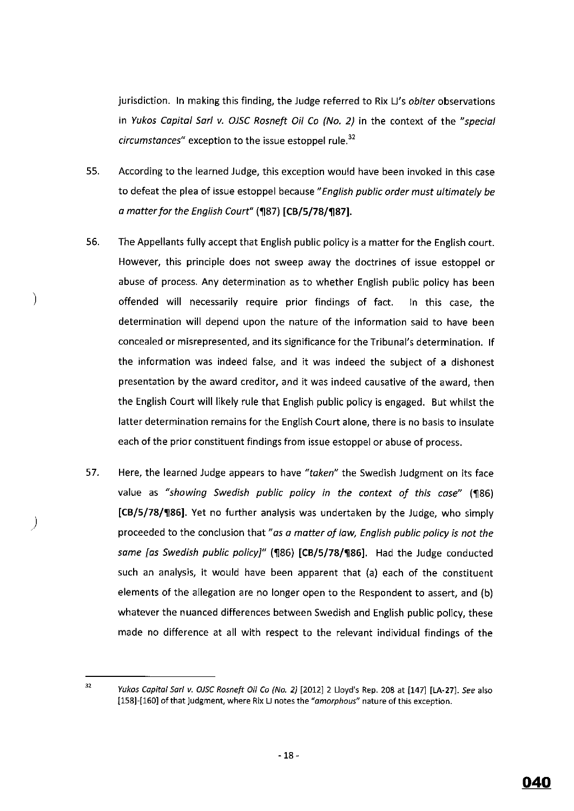jurisdiction. In making this finding, the Judge referred to Rix Li's *obiter* observations in *Yukos Capital Sari v. OJSC Rosneft Oil Co (No. 2}* in the context of the *"special circumstances*" exception to the issue estoppel rule.<sup>32</sup>

- 55. According to the learned Judge, this exception would have been invoked in this case to defeat the plea of issue estoppel because *"English public order must ultimately be a matter for the English Court"* **('1187) [CB/5/78/'1187).**
- 56. The Appellants fully accept that English public policy is a matter for the English court. However, this principle does not sweep away the doctrines of issue estoppel or abuse of process. Any determination as to whether English public policy has been offended will necessarily require prior findings of fact. In this case, the determination will depend upon the nature of the information said to have been concealed or misrepresented, and its significance for the Tribunal's determination. If the information was indeed false, and it was indeed the subject of a dishonest presentation by the award creditor, and it was indeed causative of the award, then the English Court will likely rule that English public policy is engaged. But whilst the latter determination remains for the English Court alone, there is no basis to insulate each of the prior constituent findings from issue estoppel or abuse of process.

)

)

57. Here, the learned Judge appears to have *"taken"* the Swedish Judgment on its face value as "showing Swedish public policy in the context of this case" (¶86) **[CB/5/78/'1186].** Yet no further analysis was undertaken by the Judge, who simply proceeded to the conclusion that" *as a matter of law, English public policy is not the same [as Swedish public policy]"* **('1186) [CB/5/78/'1186].** Had the Judge conducted such an analysis, it would have been apparent that (a) each of the constituent elements of the allegation are no longer open to the Respondent to assert, and (b) whatever the nuanced differences between Swedish and English public policy, these made no difference at all with respect to the relevant individual findings of the

<sup>&</sup>lt;sup>32</sup> Yukos Capital Sarl v. OJSC Rosneft Oil Co (No. 2) [2012] 2 Lloyd's Rep. 208 at [147] [LA-27]. See also [158]-[160] of that judgment, where Rix LJ notes the "amorphous" nature of this exception.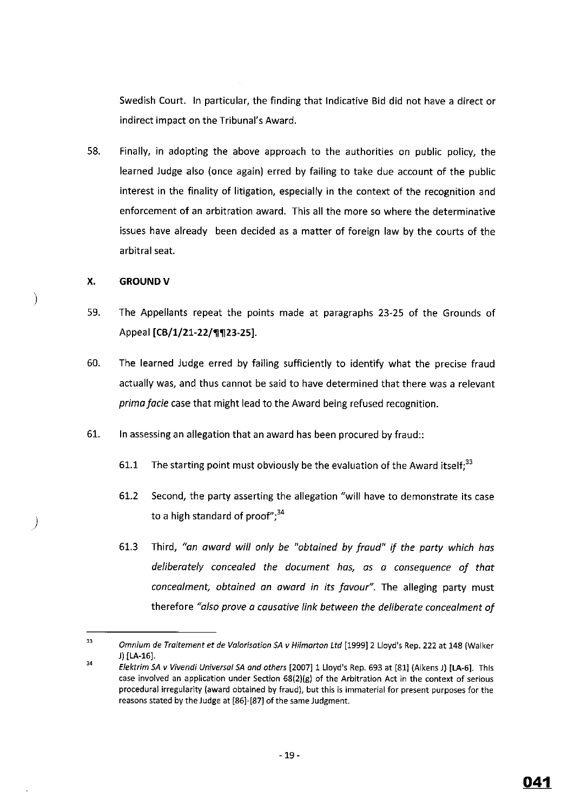Swedish Court. In particular, the finding that Indicative Bid did not have a direct or indirect impact on the Tribunal's Award.

58. Finally, in adopting the above approach to the authorities on public policy, the learned Judge also (once again) erred by failing to take due account of the public interest in the finality of litigation, especially in the context of the recognition and enforcement of an arbitration award. This all the more so where the determinative issues have already been decided as a matter of foreign law by the courts of the arbitral seat.

## **X. GROUNDV**

)

)

- 59. The Appellants repeat the points made at paragraphs 23-25 of the Grounds of Appeal **[CB/1/21-22/¶¶23-25]**.
- 60. The learned Judge erred by failing sufficiently to identify what the precise fraud actually was, and thus cannot be said to have determined that there was a relevant *prima facie* case that might lead to the Award being refused recognition.
- 61. In assessing an allegation that an award has been procured by fraud::
	- 61.1 The starting point must obviously be the evaluation of the Award itself; $33$
	- 61.2 Second, the party asserting the allegation "will have to demonstrate its case to a high standard of proof"; $34$
	- 61.3 Third, *"an award will only be "obtained by fraud" if the party which has deliberately concealed the document has, as a consequence of that concealment, obtained an award in its favour".* The alleging party must therefore *"also prove a causative link between the deliberate concealment of*

<sup>33</sup>  34 Omnium de Traitement et de Valorisation SA v Hilmarton Ltd [1999) 2 Lloyd's Rep. 222 at 148 (Walker J) [LA-16).

Elektrim SA v Vivendi Universal SA and others [2007] 1 Lloyd's Rep. 693 at [81] (Aikens J) [LA-6]. This **case involved an application under Section 68(2)(g) of the Arbitration Act in the context of serious procedural irregularity (award obtained by fraud), but this is immaterial for present purposes for the**  reasons stated by the Judge at [86)-[87] of the same Judgment.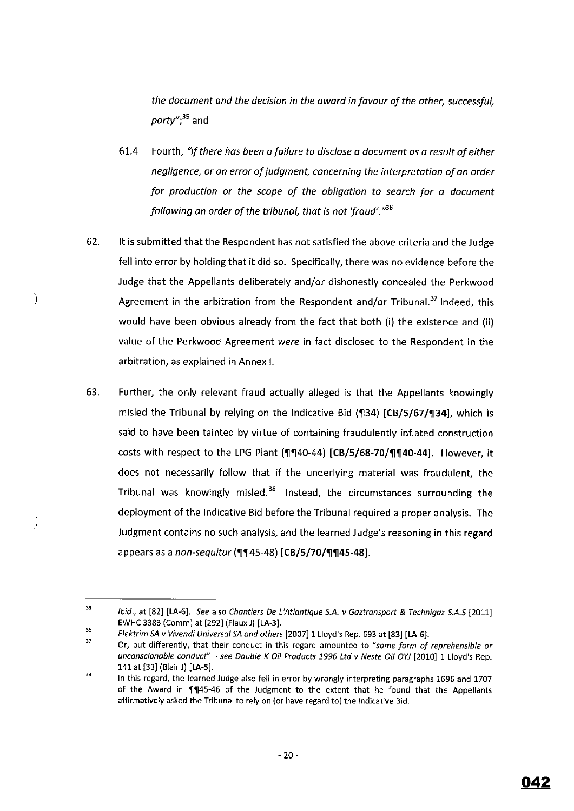*the document and the decision in the award in favour of the other, successful, party";<sup>35</sup>*and

- 61.4 Fourth, "if *there has been a failure to disclose a document as a result of either negligence, or an error of judgment, concerning the interpretation of an order for production or the scope of the obligation to search for a document following an order of the tribunal, that is not 'fraud'.* "36
- 62. It is submitted that the Respondent has not satisfied the above criteria and the Judge fell into error by holding that it did so. Specifically, there was no evidence before the Judge that the Appellants deliberately and/or dishonestly concealed the Perkwood Agreement in the arbitration from the Respondent and/or Tribunal.<sup>37</sup> Indeed, this would have been obvious already from the fact that both (i) the existence and (ii) value of the Perkwood Agreement *were* in fact disclosed to the Respondent in the arbitration, as explained in Annex I.

)

63. Further, the only relevant fraud actually alleged is that the Appellants knowingly misled the Tribunal by relying on the Indicative Bid (134) [CB/5/67/134], which is said to have been tainted by virtue of containing fraudulently inflated construction costs with respect to the LPG Plant (1140-44) [CB/5/68-70/11140-44]. However, it does not necessarily follow that if the underlying material was fraudulent, the Tribunal was knowingly misled.<sup>38</sup> Instead, the circumstances surrounding the deployment of the Indicative Bid before the Tribunal required a proper analysis. The Judgment contains no such analysis, and the learned Judge's reasoning in this regard appears as a *non-sequitur* (1145-48) [CB/5/70/1145-48].

37 **Or, put differently, that their conduct in this regard amounted to** *"some form of reprehensible or*  unconscionable conduct" - see Double K Oil Products 1996 Ltd v Neste Oil OYJ [2010] 1 Lloyd's Rep. 141 at (33] (Blair J) **[LA-5].** 

<sup>35</sup>  Ibid., at (82] [LA-6]. See also Chantiers De L'Atlantique S.A. v Gaztransport & Technigoz S.A.S (2011] EWHC 3383 (Comm) at (292] (Flaux J) [LA-3].

<sup>36</sup>  Elektrim SA v Vivendi Universal SA and others (2007] 1 Lloyd's Rep. 693 at (83] [LA-6].

<sup>38</sup>  In this regard, the learned Judge also fell in error by wrongly interpreting paragraphs 1696 and 1707 of the Award in  $\sqrt{\frac{4}{1}}$  45-46 of the Judgment to the extent that he found that the Appellants affirmatively asked the Tribunal to rely on (or have regard to) the Indicative Bid.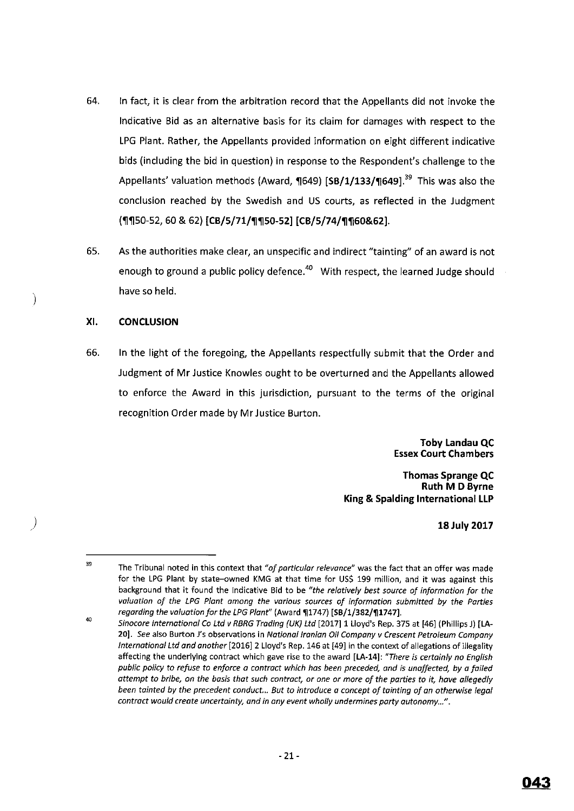- 64. In fact, it is clear from the arbitration record that the Appellants did not invoke the Indicative Bid as an alternative basis for its claim for damages with respect to the LPG Plant. Rather, the Appellants provided information on eight different indicative bids (including the bid in question) in response to the Respondent's challenge to the Appellants' valuation methods (Award, 1649) **[SB/1/133/1649]**.<sup>39</sup> This was also the conclusion reached by the Swedish and US courts, as reflected in the Judgment ('1]'1]50-52, 60 & 62) **[CB/5/71/'1]'1]50-52] [CB/5/74/'1]'1]60&62].**
- 65. As the authorities make clear, an unspecific and indirect "tainting" of an award is not enough to ground a public policy defence.<sup>40</sup> With respect, the learned Judge should have so held.

#### **XI. CONCLUSION**

)

)

66. In the light of the foregoing, the Appellants respectfully submit that the Order and Judgment of **Mr** Justice Knowles ought to be overturned and the Appellants allowed to enforce the Award in this jurisdiction, pursuant to the terms of the original recognition Order made by Mr Justice Burton.

> **Toby Landau QC Essex Court Chambers**

**Thomas Sprange QC Ruth M D Byrne King & Spalding International LLP** 

**18July 2017** 

<sup>39</sup>  40 **The Tribunal noted in this context that** *"of particular relevance"* **was the fact that an offer was made**  for the LPG Plant by state-owned KMG at that time for US\$ 199 million, and it was against this background that it found the Indicative Bid to be *"the relatively best source af information for the*  valuation of the LPG Plant among the various sources of information submitted by the Parties *regarding the valuation for the LPG Plant"* (Award ~1747) **[SB/1/382/~1747].** 

*Sinocore International Ca ltd v RBRG Trading {UK) ltd* [2017] 1 Lloyd's Rep. 375 at [46] (Phillips J) [LA-**20]. See also Burton J's observations in National Iranian Oil Company v Crescent Petroleum Company**  *International ltd and another* [2016] 2 Lloyd's Rep. 146 at [49] in the context of allegations of illegality **affecting the underlying contract which gave rise to the award [LA-14]: "There is certainly no English**  *public policy to refuse to enforce a contract which has been preceded, and is unaffected, by a failed attempt to bribe, on the basis that such contract, or one or more of the parties to it, have allegedly been tainted* **by** *the precedent conduct. .. But to introduce a concept of tainting of an otherwise legal contract would create uncertainty, and in any event wholly undermines party autonomy ... ".*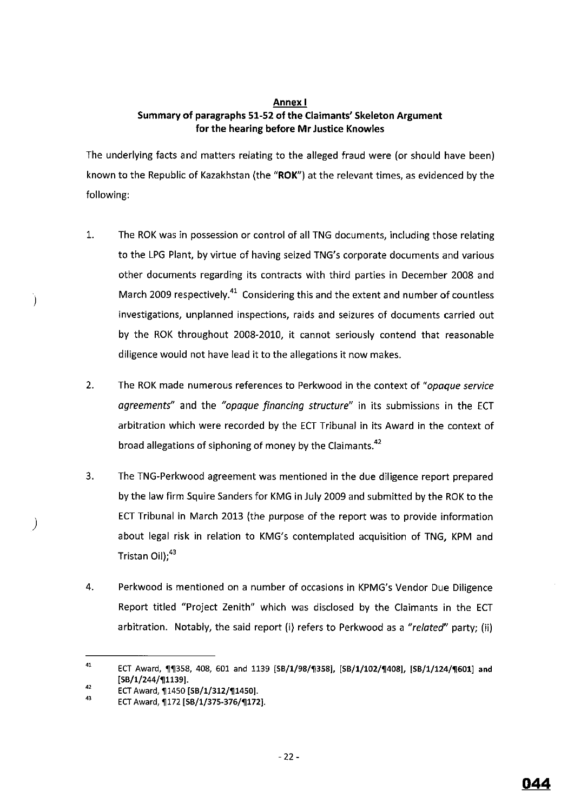## **Annex I Summary of paragraphs 51-52 of the Claimants' Skeleton Argument for the hearing before Mr Justice Knowles**

The underlying facts and matters relating to the alleged fraud were (or should have been) known to the Republic of Kazakhstan (the **"ROK'')** at the relevant times, as evidenced by the following:

- 1. The ROK was in possession or control of all TNG documents, including those relating to the LPG Plant, by virtue of having seized TNG's corporate documents and various other documents regarding its contracts with third parties in December 2008 and March 2009 respectively.<sup>41</sup> Considering this and the extent and number of countless investigations, unplanned inspections, raids and seizures of documents carried out by the ROK throughout 2008-2010, it cannot seriously contend that reasonable diligence would not have lead it to the allegations it now makes.
- 2. The ROK made numerous references to Perkwood in the context of *"opaque service agreements"* and the *"opaque financing structure"* in its submissions in the ECT arbitration which were recorded by the ECT Tribunal in its Award in the context of broad allegations of siphoning of money by the Claimants.<sup>42</sup>
- 3. The TNG-Perkwood agreement was mentioned in the due diligence report prepared by the law firm Squire Sanders for KMG in July 2009 and submitted by the ROK to the ECT Tribunal in March 2013 (the purpose of the report was to provide information about legal risk in relation to KMG's contemplated acquisition of TNG, KPM and Tristan Oil), <sup>43</sup>
- 4. Perkwood is mentioned on a number of occasions in KPMG's Vendor Due Diligence Report titled "Project Zenith" which was disclosed by the Claimants in the ECT arbitration. Notably, the said report (i) refers to Perkwood as a *"related"* party; (ii)

)

 $\lambda$ 

<sup>41</sup>  42 ECT Award, ¶¶358, 408, 601 and 1139 [SB/1/98/¶358], [SB/1/102/¶408], [SB/1/124/¶601] and [SB/1/244/11139].

<sup>43</sup>  ECT Award, 11450 [SB/1/312/11450].

ECT Award, 1172 [SB/1/375-376/1172].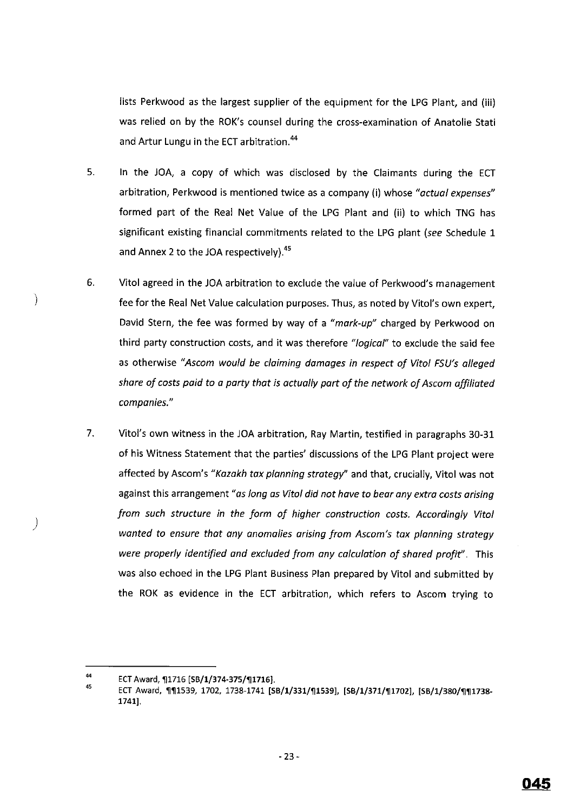lists Perkwood as the largest supplier of the equipment for the LPG Plant, and (iii) was relied on by the ROK's counsel during the cross-examination of Anatolie Stati and Artur Lungu in the ECT arbitration. <sup>44</sup>

- 5. In the JOA, a copy of which was disclosed by the Claimants during the ECT arbitration, Perkwood is mentioned twice as a company (i) whose *"actual expenses"*  formed part of the Real Net Value of the LPG Plant and (ii) to which TNG has significant existing financial commitments related to the LPG plant *(see* Schedule 1 and Annex 2 to the JOA respectively).<sup>45</sup>
- 6. Vitol agreed in the JOA arbitration to exclude the value of Perkwood's management fee for the Real Net Value calculation purposes. Thus, as noted by Vitol's own expert, David Stern, the fee was formed by way of a *"mark-up"* charged by Perkwood on third party construction costs, and it was therefore "logical" to exclude the said fee as otherwise *"Ascam would be claiming damages in respect of Vito/ FSU's alleged share of costs paid to a party that is actually part of the network of Ascom affiliated companies."*
- 7. Vitol's own witness in the JOA arbitration, Ray Martin, testified in paragraphs 30-31 of his Witness Statement that the parties' discussions of the LPG Plant project were affected by Ascom's *"Kazakh tax planning strategy"* and that, crucially, Vitol was not against this arrangement *"as long as Vito/ did not have to bear any extra costs arising from such structure in the form of higher construction costs. Accordingly Vito/ wanted to ensure that any anomalies arising from Ascom's tax planning strategy were properly identified and excluded from any calculation of shared profit''.* This was also echoed in the LPG Plant Business Plan prepared by Vitol and submitted by the ROK as evidence in the ECT arbitration, which refers to Ascom trying to

)

 $\mathcal{E}$ 

<sup>44</sup>  ECT Award, 11716 [SB/1/374-375/11716].

<sup>45</sup>  ECT Award, **111539, 1702, 1738-1741 [SB/1/331/11539], [SB/1/371/11702], [SB/1/380/111738-1741].**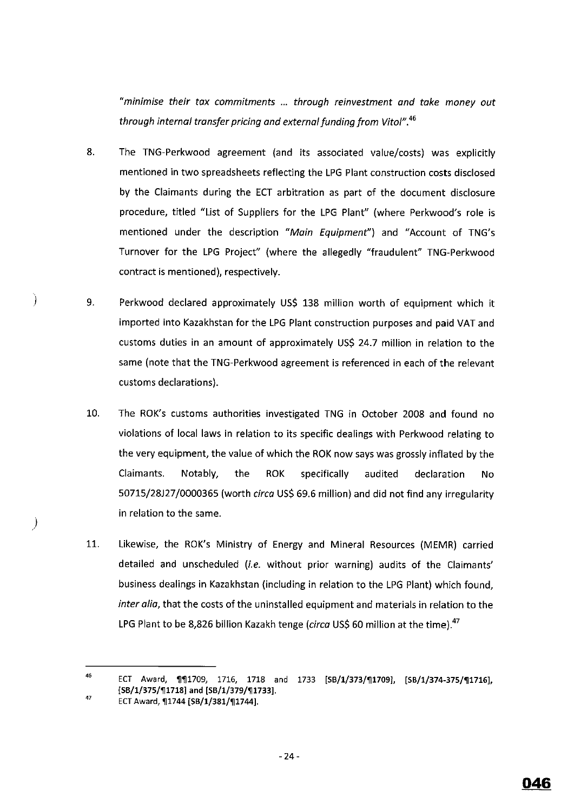*"minimise their tax commitments* ... *through reinvestment and toke money out through internal transfer pricing and external funding from Vitol". <sup>46</sup>*

- 8. The TNG-Perkwood agreement (and its associated value/costs) was explicitly mentioned in two spreadsheets reflecting the LPG Plant construction costs disclosed by the Claimants during the ECT arbitration as part of the document disclosure procedure, titled "List of Suppliers for the LPG Plant" (where Perkwood's role is mentioned under the description *"Main Equipment")* and "Account of TNG's Turnover for the LPG Project" (where the allegedly "fraudulent" TNG-Perkwood contract is mentioned), respectively.
- 9. Perkwood declared approximately US\$ 138 million worth of equipment which it imported into Kazakhstan for the LPG Plant construction purposes and paid VAT and customs duties in an amount of approximately US\$ 24.7 million in relation to the same (note that the TNG-Perkwood agreement is referenced in each of the relevant customs declarations).
- 10. The ROK's customs authorities investigated TNG in October 2008 and found no violations of local laws in relation to its specific dealings with Perkwood relating to the very equipment, the value of which the ROK now says was grossly inflated by the Claimants. Notably, the ROK specifically audited declaration No 50715/28!27 /0000365 (worth *circa* US\$ 69.6 million) and did not find any irregularity in relation to the same.
- 11. Likewise, the ROK's Ministry of Energy and Mineral Resources {MEMR) carried detailed and unscheduled (i.e. without prior warning) audits of the Claimants' business dealings in Kazakhstan (including in relation to the LPG Plant) which found, *inter alia,* that the costs of the uninstalled equipment and materials in relation to the LPG Plant to be 8,826 billion Kazakh tenge *(circa* US\$ 60 million at the time).<sup>47</sup>

)

)

<sup>46</sup>  47 ECT Award, '11'111709, 1716, 1718 and 1733 [SB/l/373/'111709], [SB/1/374-375/'111716], [SB/1/375/¶1718] and [SB/1/379/¶1733].

ECT Award, 11744 [SB/1/381/11744].